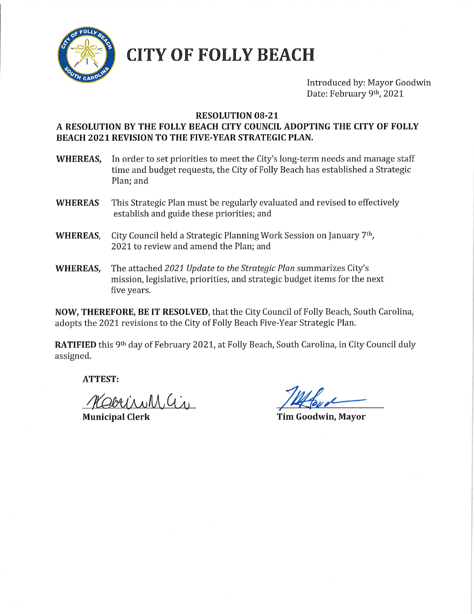

# **CITY OF FOLLY BEACH**

Introduced by: Mayor Goodwin Date: February 9th, 2021

### **RESOLUTION 08-21**

### A RESOLUTION BY THE FOLLY BEACH CITY COUNCIL ADOPTING THE CITY OF FOLLY **BEACH 2021 REVISION TO THE FIVE-YEAR STRATEGIC PLAN.**

- In order to set priorities to meet the City's long-term needs and manage staff WHEREAS. time and budget requests, the City of Folly Beach has established a Strategic Plan: and
- This Strategic Plan must be regularly evaluated and revised to effectively **WHEREAS** establish and guide these priorities; and
- City Council held a Strategic Planning Work Session on January 7th, **WHEREAS.** 2021 to review and amend the Plan; and
- **WHEREAS,** The attached 2021 Update to the Strategic Plan summarizes City's mission, legislative, priorities, and strategic budget items for the next five years.

NOW, THEREFORE, BE IT RESOLVED, that the City Council of Folly Beach, South Carolina, adopts the 2021 revisions to the City of Folly Beach Five-Year Strategic Plan.

RATIFIED this 9th day of February 2021, at Folly Beach, South Carolina, in City Council duly assigned.

**ATTEST:** 

Obrisull as

**Municipal Clerk** 

Tim Goodwin, Mayor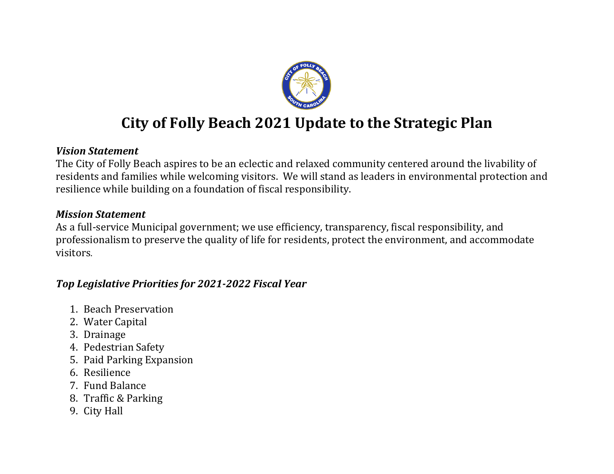

# **City of Folly Beach 2021 Update to the Strategic Plan**

### *Vision Statement*

The City of Folly Beach aspires to be an eclectic and relaxed community centered around the livability of residents and families while welcoming visitors. We will stand as leaders in environmental protection and resilience while building on a foundation of fiscal responsibility.

## *Mission Statement*

As a full-service Municipal government; we use efficiency, transparency, fiscal responsibility, and professionalism to preserve the quality of life for residents, protect the environment, and accommodate visitors.

## *Top Legislative Priorities for 2021-2022 Fiscal Year*

- 1. Beach Preservation
- 2. Water Capital
- 3. Drainage
- 4. Pedestrian Safety
- 5. Paid Parking Expansion
- 6. Resilience
- 7. Fund Balance
- 8. Traffic & Parking
- 9. City Hall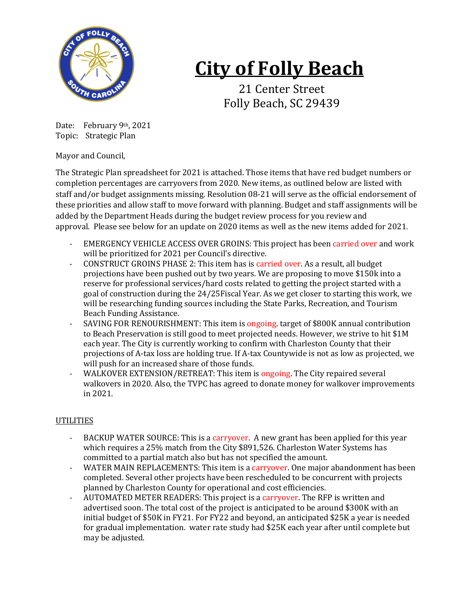

# **City of Folly Beach**

21 Center Street Folly Beach, SC 29439

Date: February 9th, 2021 Topic: Strategic Plan

Mayor and Council,

The Strategic Plan spreadsheet for 2021 is attached. Those items that have red budget numbers or completion percentages are carryovers from 2020. New items, as outlined below are listed with staff and/or budget assignments missing. Resolution 08-21 will serve as the official endorsement of these priorities and allow staff to move forward with planning. Budget and staff assignments will be added by the Department Heads during the budget review process for you review and approval. Please see below for an update on 2020 items as well as the new items added for 2021.

- EMERGENCY VEHICLE ACCESS OVER GROINS: This project has been carried over and work will be prioritized for 2021 per Council's directive.
- CONSTRUCT GROINS PHASE 2: This item has is carried over. As a result, all budget projections have been pushed out by two years. We are proposing to move \$150k into a reserve for professional services/hard costs related to getting the project started with a goal of construction during the 24/25Fiscal Year. As we get closer to starting this work, we will be researching funding sources including the State Parks, Recreation, and Tourism Beach Funding Assistance.
- SAVING FOR RENOURISHMENT: This item is ongoing. target of \$800K annual contribution to Beach Preservation is still good to meet projected needs. However, we strive to hit \$1M each year. The City is currently working to confirm with Charleston County that their projections of A-tax loss are holding true. If A-tax Countywide is not as low as projected, we will push for an increased share of those funds.
- WALKOVER EXTENSION/RETREAT: This item is ongoing. The City repaired several walkovers in 2020. Also, the TVPC has agreed to donate money for walkover improvements in 2021.

### UTILITIES

- BACKUP WATER SOURCE: This is a carryover. A new grant has been applied for this year which requires a 25% match from the City \$891,526. Charleston Water Systems has committed to a partial match also but has not specified the amount.
- WATER MAIN REPLACEMENTS: This item is a carryover. One major abandonment has been completed. Several other projects have been rescheduled to be concurrent with projects planned by Charleston County for operational and cost efficiencies.
- AUTOMATED METER READERS: This project is a carryover. The RFP is written and advertised soon. The total cost of the project is anticipated to be around \$300K with an initial budget of \$50K in FY21. For FY22 and beyond, an anticipated \$25K a year is needed for gradual implementation. water rate study had \$25K each year after until complete but may be adjusted.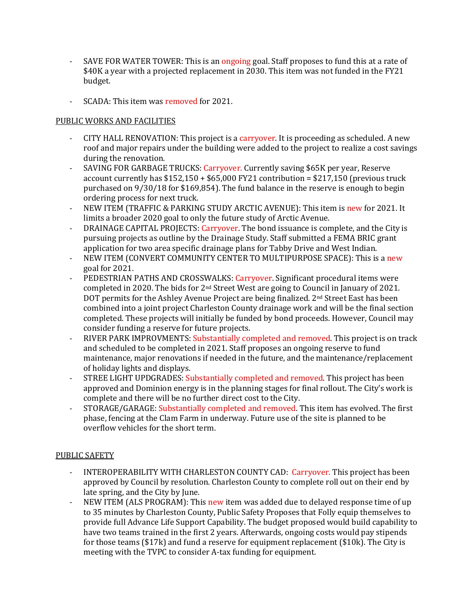- SAVE FOR WATER TOWER: This is an ongoing goal. Staff proposes to fund this at a rate of \$40K a year with a projected replacement in 2030. This item was not funded in the FY21 budget.
- SCADA: This item was removed for 2021.

### PUBLIC WORKS AND FACILITIES

- CITY HALL RENOVATION: This project is a carryover. It is proceeding as scheduled. A new roof and major repairs under the building were added to the project to realize a cost savings during the renovation.
- SAVING FOR GARBAGE TRUCKS: Carryover. Currently saving \$65K per year, Reserve account currently has  $$152,150 + $65,000$  FY21 contribution =  $$217,150$  (previous truck purchased on 9/30/18 for \$169,854). The fund balance in the reserve is enough to begin ordering process for next truck.
- NEW ITEM (TRAFFIC & PARKING STUDY ARCTIC AVENUE): This item is new for 2021. It limits a broader 2020 goal to only the future study of Arctic Avenue.
- DRAINAGE CAPITAL PROJECTS: Carryover. The bond issuance is complete, and the City is pursuing projects as outline by the Drainage Study. Staff submitted a FEMA BRIC grant application for two area specific drainage plans for Tabby Drive and West Indian.
- NEW ITEM (CONVERT COMMUNITY CENTER TO MULTIPURPOSE SPACE): This is a new goal for 2021.
- PEDESTRIAN PATHS AND CROSSWALKS: Carryover. Significant procedural items were completed in 2020. The bids for  $2<sup>nd</sup>$  Street West are going to Council in January of 2021. DOT permits for the Ashley Avenue Project are being finalized. 2<sup>nd</sup> Street East has been combined into a joint project Charleston County drainage work and will be the final section completed. These projects will initially be funded by bond proceeds. However, Council may consider funding a reserve for future projects.
- RIVER PARK IMPROVMENTS: Substantially completed and removed. This project is on track and scheduled to be completed in 2021. Staff proposes an ongoing reserve to fund maintenance, major renovations if needed in the future, and the maintenance/replacement of holiday lights and displays.
- STREE LIGHT UPDGRADES: Substantially completed and removed. This project has been approved and Dominion energy is in the planning stages for final rollout. The City's work is complete and there will be no further direct cost to the City.
- STORAGE/GARAGE: Substantially completed and removed. This item has evolved. The first phase, fencing at the Clam Farm in underway. Future use of the site is planned to be overflow vehicles for the short term.

### PUBLIC SAFETY

- INTEROPERABILITY WITH CHARLESTON COUNTY CAD: Carryover. This project has been approved by Council by resolution. Charleston County to complete roll out on their end by late spring, and the City by June.
- NEW ITEM (ALS PROGRAM): This new item was added due to delayed response time of up to 35 minutes by Charleston County, Public Safety Proposes that Folly equip themselves to provide full Advance Life Support Capability. The budget proposed would build capability to have two teams trained in the first 2 years. Afterwards, ongoing costs would pay stipends for those teams (\$17k) and fund a reserve for equipment replacement (\$10k). The City is meeting with the TVPC to consider A-tax funding for equipment.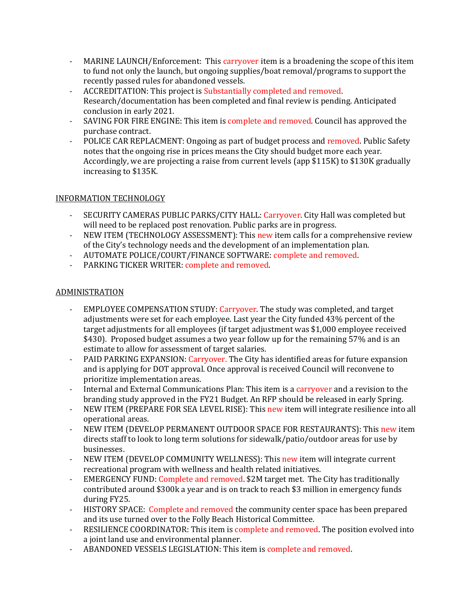- MARINE LAUNCH/Enforcement: This carryover item is a broadening the scope of this item to fund not only the launch, but ongoing supplies/boat removal/programs to support the recently passed rules for abandoned vessels.
- ACCREDITATION: This project is Substantially completed and removed. Research/documentation has been completed and final review is pending. Anticipated conclusion in early 2021.
- SAVING FOR FIRE ENGINE: This item is complete and removed. Council has approved the purchase contract.
- POLICE CAR REPLACMENT: Ongoing as part of budget process and removed. Public Safety notes that the ongoing rise in prices means the City should budget more each year. Accordingly, we are projecting a raise from current levels (app \$115K) to \$130K gradually increasing to \$135K.

### INFORMATION TECHNOLOGY

- SECURITY CAMERAS PUBLIC PARKS/CITY HALL: Carryover. City Hall was completed but will need to be replaced post renovation. Public parks are in progress.
- NEW ITEM (TECHNOLOGY ASSESSMENT): This new item calls for a comprehensive review of the City's technology needs and the development of an implementation plan.
- AUTOMATE POLICE/COURT/FINANCE SOFTWARE: complete and removed.
- PARKING TICKER WRITER: complete and removed.

### ADMINISTRATION

- EMPLOYEE COMPENSATION STUDY: Carryover. The study was completed, and target adjustments were set for each employee. Last year the City funded 43% percent of the target adjustments for all employees (if target adjustment was \$1,000 employee received \$430). Proposed budget assumes a two year follow up for the remaining 57% and is an estimate to allow for assessment of target salaries.
- PAID PARKING EXPANSION: Carryover. The City has identified areas for future expansion and is applying for DOT approval. Once approval is received Council will reconvene to prioritize implementation areas.
- Internal and External Communications Plan: This item is a carryover and a revision to the branding study approved in the FY21 Budget. An RFP should be released in early Spring.
- NEW ITEM (PREPARE FOR SEA LEVEL RISE): This new item will integrate resilience into all operational areas.
- NEW ITEM (DEVELOP PERMANENT OUTDOOR SPACE FOR RESTAURANTS): This new item directs staff to look to long term solutions for sidewalk/patio/outdoor areas for use by businesses.
- NEW ITEM (DEVELOP COMMUNITY WELLNESS): This new item will integrate current recreational program with wellness and health related initiatives.
- EMERGENCY FUND: Complete and removed. \$2M target met. The City has traditionally contributed around \$300k a year and is on track to reach \$3 million in emergency funds during FY25.
- HISTORY SPACE: Complete and removed the community center space has been prepared and its use turned over to the Folly Beach Historical Committee.
- RESILIENCE COORDINATOR: This item is complete and removed. The position evolved into a joint land use and environmental planner.
- ABANDONED VESSELS LEGISLATION: This item is complete and removed.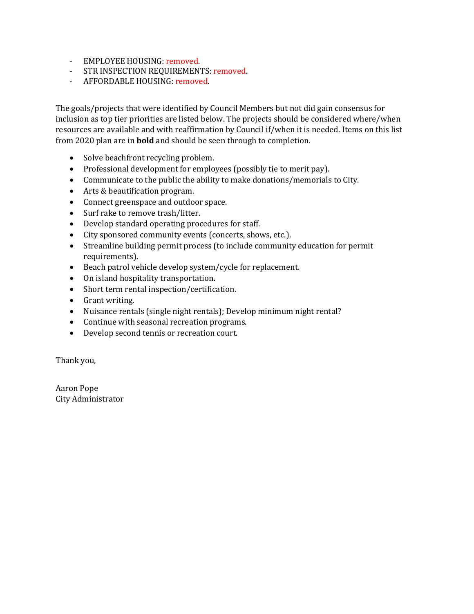- EMPLOYEE HOUSING: removed.
- STR INSPECTION REQUIREMENTS: removed.
- AFFORDABLE HOUSING: removed.

The goals/projects that were identified by Council Members but not did gain consensus for inclusion as top tier priorities are listed below. The projects should be considered where/when resources are available and with reaffirmation by Council if/when it is needed. Items on this list from 2020 plan are in **bold** and should be seen through to completion.

- Solve beachfront recycling problem.
- Professional development for employees (possibly tie to merit pay).
- Communicate to the public the ability to make donations/memorials to City.
- Arts & beautification program.
- Connect greenspace and outdoor space.
- Surf rake to remove trash/litter.
- Develop standard operating procedures for staff.
- City sponsored community events (concerts, shows, etc.).
- Streamline building permit process (to include community education for permit requirements).
- Beach patrol vehicle develop system/cycle for replacement.
- On island hospitality transportation.
- Short term rental inspection/certification.
- Grant writing.
- Nuisance rentals (single night rentals); Develop minimum night rental?
- Continue with seasonal recreation programs.
- Develop second tennis or recreation court.

Thank you,

Aaron Pope City Administrator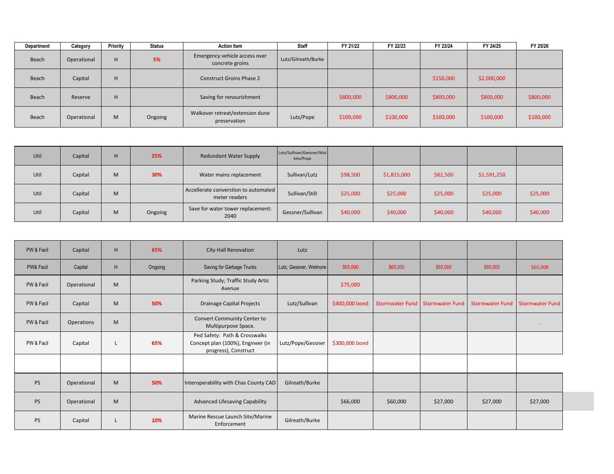| Department | Category    | Priority | Status  | <b>Action Item</b>                               | Staff               | FY 21/22  | FY 22/23  | FY 23/24  | FY 24/25    | FY 25/26  |
|------------|-------------|----------|---------|--------------------------------------------------|---------------------|-----------|-----------|-----------|-------------|-----------|
| Beach      | Operational | H.       | 5%      | Emergency vehicle access over<br>concrete groins | Lutz/Gilreath/Burke |           |           |           |             |           |
| Beach      | Capital     | н        |         | <b>Construct Groins Phase 2</b>                  |                     |           |           | \$150,000 | \$2,000,000 |           |
| Beach      | Reserve     | н        |         | Saving for renourishment                         |                     | \$800,000 | \$800,000 | \$800,000 | \$800,000   | \$800,000 |
| Beach      | Operational | M        | Ongoing | Walkover retreat/extension dune<br>preservation  | Lutz/Pope           | \$100,000 | \$100,000 | \$100,000 | \$100,000   | \$100,000 |

| Util | Capital | H. | 25%     | <b>Redundant Water Supply</b>                         | Lutz/Sullivan/Gessner/Wat<br>kins/Pope |          |             |          |             |          |
|------|---------|----|---------|-------------------------------------------------------|----------------------------------------|----------|-------------|----------|-------------|----------|
| Util | Capital | M  | 30%     | Water mains replacement                               | Sullivan/Lutz                          | \$98,500 | \$1,815,000 | \$82,500 | \$1,591,250 |          |
| Util | Capital | M  |         | Accellerate converstion to automated<br>meter readers | Sullivan/Still                         | \$25,000 | \$25,000    | \$25,000 | \$25,000    | \$25,000 |
| Util | Capital | M  | Ongoing | Save for water tower replacement:<br>2040             | Gessner/Sullivan                       | \$40,000 | \$40,000    | \$40,000 | \$40,000    | \$40,000 |

| PW & Facil | Capital     | H | 65%     | <b>City Hall Renovation</b>                                                                | Lutz                   |                |          |                                 |                        |                        |
|------------|-------------|---|---------|--------------------------------------------------------------------------------------------|------------------------|----------------|----------|---------------------------------|------------------------|------------------------|
| PW& Facil  | Capital     | H | Ongoing | Saving for Garbage Trucks                                                                  | Lutz, Gessner, Wetmore | \$65,000       | \$65,000 | \$65,000                        | \$65,000               | \$65,000               |
| PW & Facil | Operational | M |         | Parking Study; Traffic Study Artic<br>Avenue                                               |                        | \$75,000       |          |                                 |                        |                        |
| PW & Facil | Capital     | M | 50%     | <b>Drainage Capital Projects</b>                                                           | Lutz/Sullivan          | \$400,000 bond |          | Stormwater Fund Stormwater Fund | <b>Stormwater Fund</b> | <b>Stormwater Fund</b> |
| PW & Facil | Operations  | M |         | Convert Community Center to<br>Multipurpose Space.                                         |                        |                |          |                                 |                        |                        |
| PW & Facil | Capital     | L | 65%     | Ped Safety: Path & Crosswalks<br>Concept plan (100%), Engineer (in<br>progress), Construct | Lutz/Pope/Gessner      | \$300,000 bond |          |                                 |                        |                        |
|            |             |   |         |                                                                                            |                        |                |          |                                 |                        |                        |
| <b>PS</b>  | Operational | M | 50%     | Interoperability with Chas County CAD                                                      | Gilreath/Burke         |                |          |                                 |                        |                        |
| PS         | Operational | M |         | Advanced Lifesaving Capability                                                             |                        | \$66,000       | \$60,000 | \$27,000                        | \$27,000               | \$27,000               |
| <b>PS</b>  | Capital     |   | 10%     | Marine Rescue Launch Site/Marine<br>Enforcement                                            | Gilreath/Burke         |                |          |                                 |                        |                        |